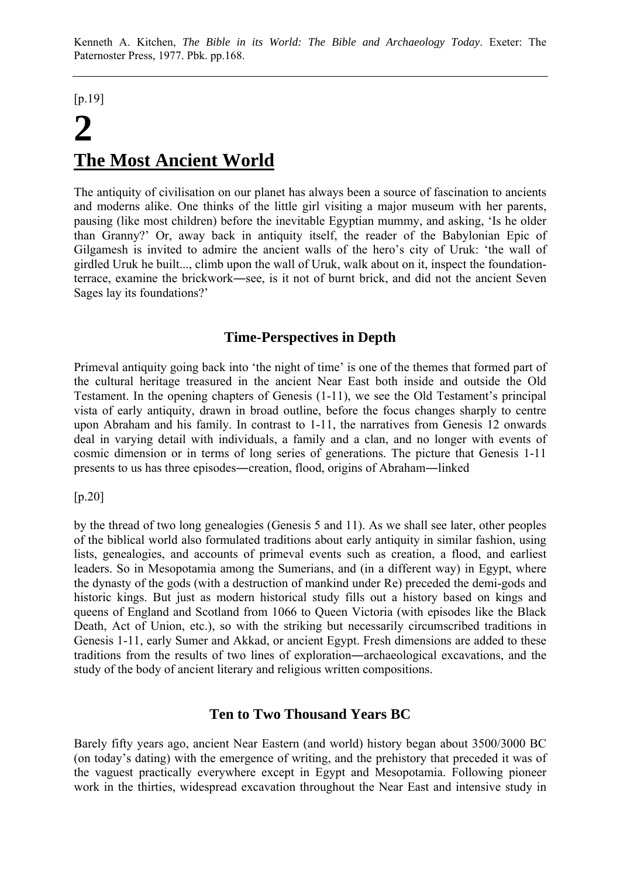## [p.19]

# **2 The Most Ancient World**

The antiquity of civilisation on our planet has always been a source of fascination to ancients and moderns alike. One thinks of the little girl visiting a major museum with her parents, pausing (like most children) before the inevitable Egyptian mummy, and asking, 'Is he older than Granny?' Or, away back in antiquity itself, the reader of the Babylonian Epic of Gilgamesh is invited to admire the ancient walls of the hero's city of Uruk: 'the wall of girdled Uruk he built..., climb upon the wall of Uruk, walk about on it, inspect the foundationterrace, examine the brickwork―see, is it not of burnt brick, and did not the ancient Seven Sages lay its foundations?'

# **Time-Perspectives in Depth**

Primeval antiquity going back into 'the night of time' is one of the themes that formed part of the cultural heritage treasured in the ancient Near East both inside and outside the Old Testament. In the opening chapters of Genesis (1-11), we see the Old Testament's principal vista of early antiquity, drawn in broad outline, before the focus changes sharply to centre upon Abraham and his family. In contrast to 1-11, the narratives from Genesis 12 onwards deal in varying detail with individuals, a family and a clan, and no longer with events of cosmic dimension or in terms of long series of generations. The picture that Genesis 1-11 presents to us has three episodes―creation, flood, origins of Abraham―linked

#### [p.20]

by the thread of two long genealogies (Genesis 5 and 11). As we shall see later, other peoples of the biblical world also formulated traditions about early antiquity in similar fashion, using lists, genealogies, and accounts of primeval events such as creation, a flood, and earliest leaders. So in Mesopotamia among the Sumerians, and (in a different way) in Egypt, where the dynasty of the gods (with a destruction of mankind under Re) preceded the demi-gods and historic kings. But just as modern historical study fills out a history based on kings and queens of England and Scotland from 1066 to Queen Victoria (with episodes like the Black Death, Act of Union, etc.), so with the striking but necessarily circumscribed traditions in Genesis 1-11, early Sumer and Akkad, or ancient Egypt. Fresh dimensions are added to these traditions from the results of two lines of exploration―archaeological excavations, and the study of the body of ancient literary and religious written compositions.

## **Ten to Two Thousand Years BC**

Barely fifty years ago, ancient Near Eastern (and world) history began about 3500/3000 BC (on today's dating) with the emergence of writing, and the prehistory that preceded it was of the vaguest practically everywhere except in Egypt and Mesopotamia. Following pioneer work in the thirties, widespread excavation throughout the Near East and intensive study in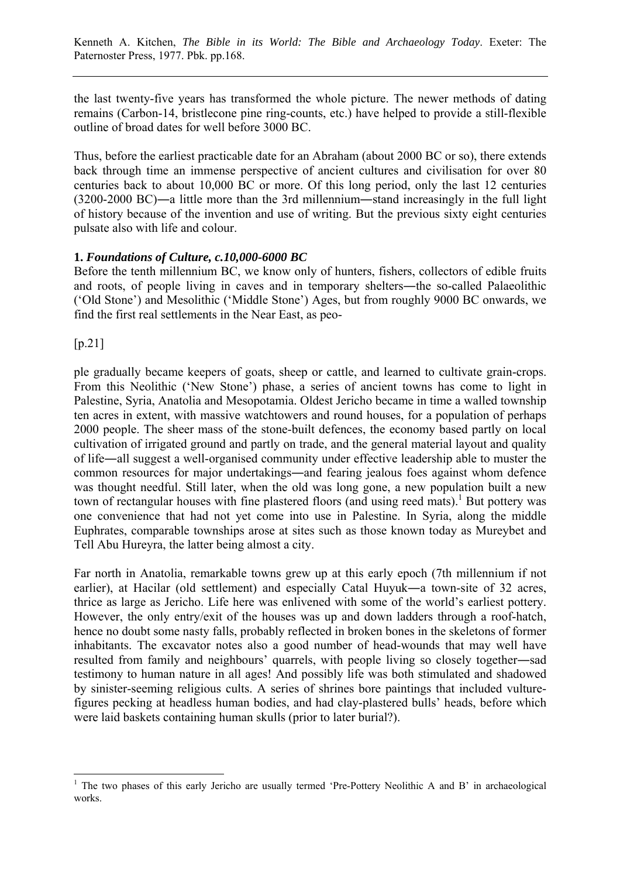the last twenty-five years has transformed the whole picture. The newer methods of dating remains (Carbon-14, bristlecone pine ring-counts, etc.) have helped to provide a still-flexible outline of broad dates for well before 3000 BC.

Thus, before the earliest practicable date for an Abraham (about 2000 BC or so), there extends back through time an immense perspective of ancient cultures and civilisation for over 80 centuries back to about 10,000 BC or more. Of this long period, only the last 12 centuries (3200-2000 BC)―a little more than the 3rd millennium―stand increasingly in the full light of history because of the invention and use of writing. But the previous sixty eight centuries pulsate also with life and colour.

#### **1.** *Foundations of Culture, c.10,000-6000 BC*

Before the tenth millennium BC, we know only of hunters, fishers, collectors of edible fruits and roots, of people living in caves and in temporary shelters―the so-called Palaeolithic ('Old Stone') and Mesolithic ('Middle Stone') Ages, but from roughly 9000 BC onwards, we find the first real settlements in the Near East, as peo-

[p.21]

 $\overline{a}$ 

ple gradually became keepers of goats, sheep or cattle, and learned to cultivate grain-crops. From this Neolithic ('New Stone') phase, a series of ancient towns has come to light in Palestine, Syria, Anatolia and Mesopotamia. Oldest Jericho became in time a walled township ten acres in extent, with massive watchtowers and round houses, for a population of perhaps 2000 people. The sheer mass of the stone-built defences, the economy based partly on local cultivation of irrigated ground and partly on trade, and the general material layout and quality of life―all suggest a well-organised community under effective leadership able to muster the common resources for major undertakings―and fearing jealous foes against whom defence was thought needful. Still later, when the old was long gone, a new population built a new town of rectangular houses with fine plastered floors (and using reed mats).<sup>1</sup> But pottery was one convenience that had not yet come into use in Palestine. In Syria, along the middle Euphrates, comparable townships arose at sites such as those known today as Mureybet and Tell Abu Hureyra, the latter being almost a city.

Far north in Anatolia, remarkable towns grew up at this early epoch (7th millennium if not earlier), at Hacilar (old settlement) and especially Catal Huyuk―a town-site of 32 acres, thrice as large as Jericho. Life here was enlivened with some of the world's earliest pottery. However, the only entry/exit of the houses was up and down ladders through a roof-hatch, hence no doubt some nasty falls, probably reflected in broken bones in the skeletons of former inhabitants. The excavator notes also a good number of head-wounds that may well have resulted from family and neighbours' quarrels, with people living so closely together―sad testimony to human nature in all ages! And possibly life was both stimulated and shadowed by sinister-seeming religious cults. A series of shrines bore paintings that included vulturefigures pecking at headless human bodies, and had clay-plastered bulls' heads, before which were laid baskets containing human skulls (prior to later burial?).

<sup>&</sup>lt;sup>1</sup> The two phases of this early Jericho are usually termed 'Pre-Pottery Neolithic A and B' in archaeological works.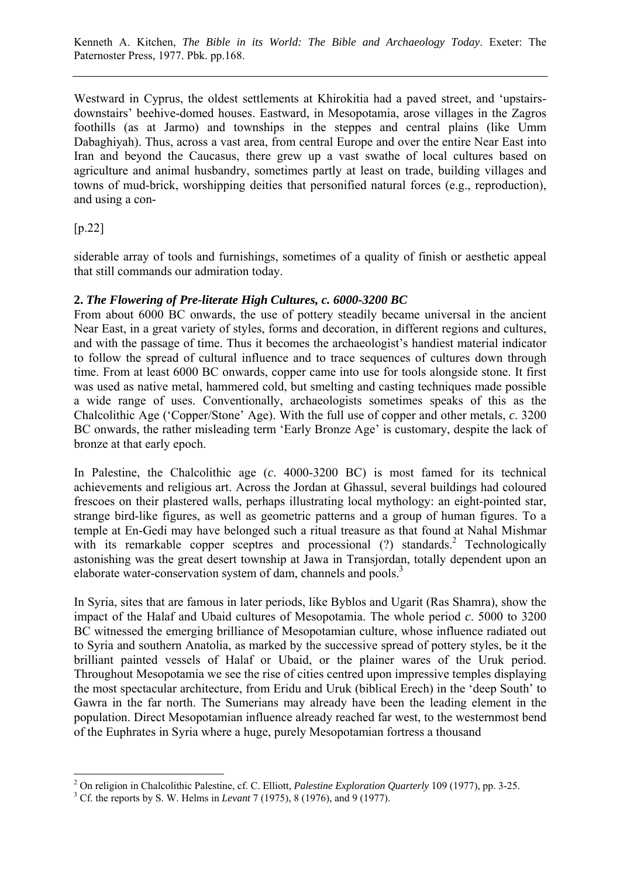Westward in Cyprus, the oldest settlements at Khirokitia had a paved street, and 'upstairsdownstairs' beehive-domed houses. Eastward, in Mesopotamia, arose villages in the Zagros foothills (as at Jarmo) and townships in the steppes and central plains (like Umm Dabaghiyah). Thus, across a vast area, from central Europe and over the entire Near East into Iran and beyond the Caucasus, there grew up a vast swathe of local cultures based on agriculture and animal husbandry, sometimes partly at least on trade, building villages and towns of mud-brick, worshipping deities that personified natural forces (e.g., reproduction), and using a con-

[p.22]

 $\overline{a}$ 

siderable array of tools and furnishings, sometimes of a quality of finish or aesthetic appeal that still commands our admiration today.

#### **2.** *The Flowering of Pre-literate High Cultures, c. 6000-3200 BC*

From about 6000 BC onwards, the use of pottery steadily became universal in the ancient Near East, in a great variety of styles, forms and decoration, in different regions and cultures, and with the passage of time. Thus it becomes the archaeologist's handiest material indicator to follow the spread of cultural influence and to trace sequences of cultures down through time. From at least 6000 BC onwards, copper came into use for tools alongside stone. It first was used as native metal, hammered cold, but smelting and casting techniques made possible a wide range of uses. Conventionally, archaeologists sometimes speaks of this as the Chalcolithic Age ('Copper/Stone' Age). With the full use of copper and other metals, *c*. 3200 BC onwards, the rather misleading term 'Early Bronze Age' is customary, despite the lack of bronze at that early epoch.

In Palestine, the Chalcolithic age (*c*. 4000-3200 BC) is most famed for its technical achievements and religious art. Across the Jordan at Ghassul, several buildings had coloured frescoes on their plastered walls, perhaps illustrating local mythology: an eight-pointed star, strange bird-like figures, as well as geometric patterns and a group of human figures. To a temple at En-Gedi may have belonged such a ritual treasure as that found at Nahal Mishmar with its remarkable copper sceptres and processional  $(?)$  standards.<sup>2</sup> Technologically astonishing was the great desert township at Jawa in Transjordan, totally dependent upon an elaborate water-conservation system of dam, channels and pools.<sup>3</sup>

In Syria, sites that are famous in later periods, like Byblos and Ugarit (Ras Shamra), show the impact of the Halaf and Ubaid cultures of Mesopotamia. The whole period *c*. 5000 to 3200 BC witnessed the emerging brilliance of Mesopotamian culture, whose influence radiated out to Syria and southern Anatolia, as marked by the successive spread of pottery styles, be it the brilliant painted vessels of Halaf or Ubaid, or the plainer wares of the Uruk period. Throughout Mesopotamia we see the rise of cities centred upon impressive temples displaying the most spectacular architecture, from Eridu and Uruk (biblical Erech) in the 'deep South' to Gawra in the far north. The Sumerians may already have been the leading element in the population. Direct Mesopotamian influence already reached far west, to the westernmost bend of the Euphrates in Syria where a huge, purely Mesopotamian fortress a thousand

<sup>&</sup>lt;sup>2</sup> On religion in Chalcolithic Palestine, cf. C. Elliott, *Palestine Exploration Quarterly* 109 (1977), pp. 3-25.  $\frac{3}{5}$  Cf. the reports by S. W. Helpes in Lawart 7 (1975), 2 (1976), and 0 (1977).

Cf. the reports by S. W. Helms in *Levant* 7 (1975), 8 (1976), and 9 (1977).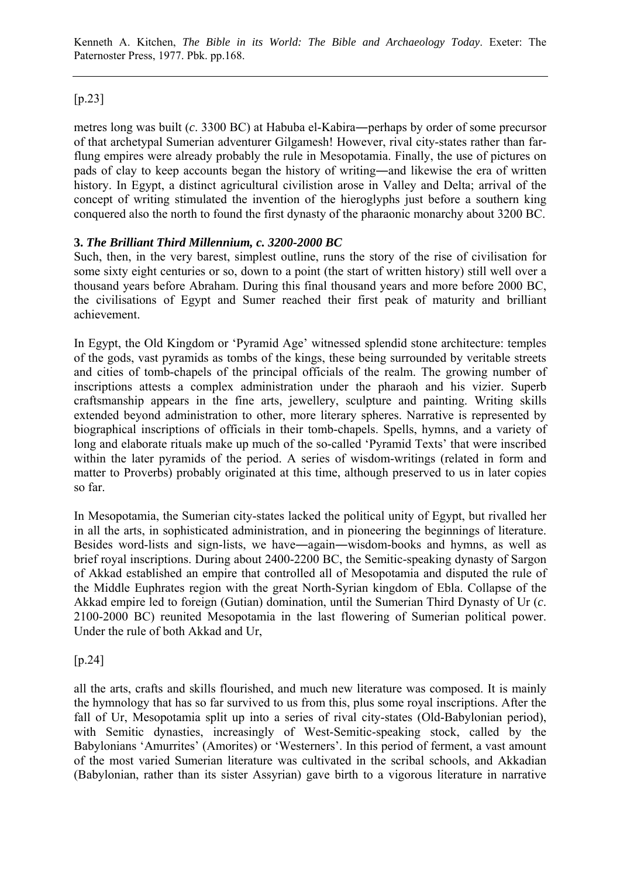# [p.23]

metres long was built (*c*. 3300 BC) at Habuba el-Kabira―perhaps by order of some precursor of that archetypal Sumerian adventurer Gilgamesh! However, rival city-states rather than farflung empires were already probably the rule in Mesopotamia. Finally, the use of pictures on pads of clay to keep accounts began the history of writing―and likewise the era of written history. In Egypt, a distinct agricultural civilistion arose in Valley and Delta; arrival of the concept of writing stimulated the invention of the hieroglyphs just before a southern king conquered also the north to found the first dynasty of the pharaonic monarchy about 3200 BC.

## **3.** *The Brilliant Third Millennium, c. 3200-2000 BC*

Such, then, in the very barest, simplest outline, runs the story of the rise of civilisation for some sixty eight centuries or so, down to a point (the start of written history) still well over a thousand years before Abraham. During this final thousand years and more before 2000 BC, the civilisations of Egypt and Sumer reached their first peak of maturity and brilliant achievement.

In Egypt, the Old Kingdom or 'Pyramid Age' witnessed splendid stone architecture: temples of the gods, vast pyramids as tombs of the kings, these being surrounded by veritable streets and cities of tomb-chapels of the principal officials of the realm. The growing number of inscriptions attests a complex administration under the pharaoh and his vizier. Superb craftsmanship appears in the fine arts, jewellery, sculpture and painting. Writing skills extended beyond administration to other, more literary spheres. Narrative is represented by biographical inscriptions of officials in their tomb-chapels. Spells, hymns, and a variety of long and elaborate rituals make up much of the so-called 'Pyramid Texts' that were inscribed within the later pyramids of the period. A series of wisdom-writings (related in form and matter to Proverbs) probably originated at this time, although preserved to us in later copies so far.

In Mesopotamia, the Sumerian city-states lacked the political unity of Egypt, but rivalled her in all the arts, in sophisticated administration, and in pioneering the beginnings of literature. Besides word-lists and sign-lists, we have―again―wisdom-books and hymns, as well as brief royal inscriptions. During about 2400-2200 BC, the Semitic-speaking dynasty of Sargon of Akkad established an empire that controlled all of Mesopotamia and disputed the rule of the Middle Euphrates region with the great North-Syrian kingdom of Ebla. Collapse of the Akkad empire led to foreign (Gutian) domination, until the Sumerian Third Dynasty of Ur (*c*. 2100-2000 BC) reunited Mesopotamia in the last flowering of Sumerian political power. Under the rule of both Akkad and Ur,

[p.24]

all the arts, crafts and skills flourished, and much new literature was composed. It is mainly the hymnology that has so far survived to us from this, plus some royal inscriptions. After the fall of Ur, Mesopotamia split up into a series of rival city-states (Old-Babylonian period), with Semitic dynasties, increasingly of West-Semitic-speaking stock, called by the Babylonians 'Amurrites' (Amorites) or 'Westerners'. In this period of ferment, a vast amount of the most varied Sumerian literature was cultivated in the scribal schools, and Akkadian (Babylonian, rather than its sister Assyrian) gave birth to a vigorous literature in narrative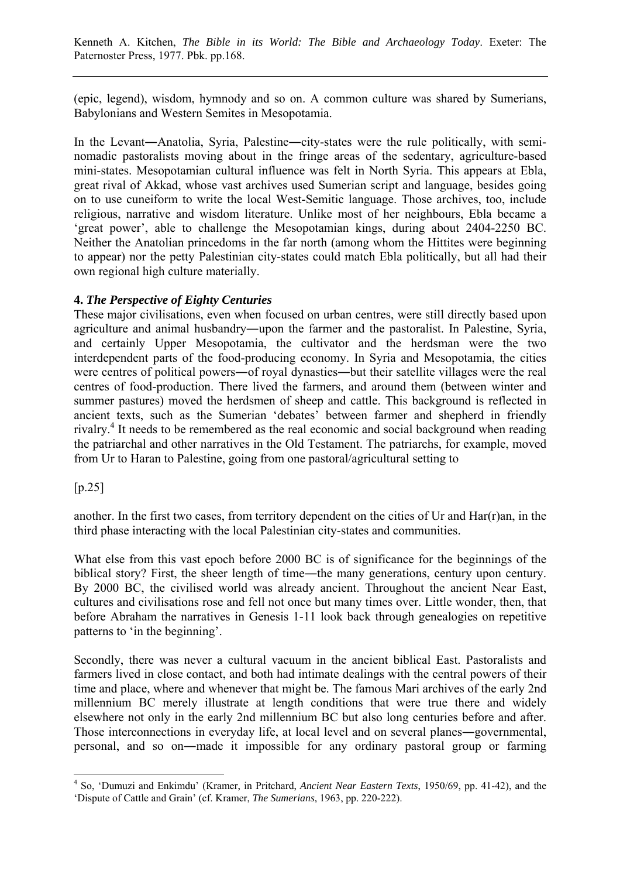(epic, legend), wisdom, hymnody and so on. A common culture was shared by Sumerians, Babylonians and Western Semites in Mesopotamia.

In the Levant―Anatolia, Syria, Palestine―city-states were the rule politically, with seminomadic pastoralists moving about in the fringe areas of the sedentary, agriculture-based mini-states. Mesopotamian cultural influence was felt in North Syria. This appears at Ebla, great rival of Akkad, whose vast archives used Sumerian script and language, besides going on to use cuneiform to write the local West-Semitic language. Those archives, too, include religious, narrative and wisdom literature. Unlike most of her neighbours, Ebla became a 'great power', able to challenge the Mesopotamian kings, during about 2404-2250 BC. Neither the Anatolian princedoms in the far north (among whom the Hittites were beginning to appear) nor the petty Palestinian city-states could match Ebla politically, but all had their own regional high culture materially.

## **4.** *The Perspective of Eighty Centuries*

These major civilisations, even when focused on urban centres, were still directly based upon agriculture and animal husbandry―upon the farmer and the pastoralist. In Palestine, Syria, and certainly Upper Mesopotamia, the cultivator and the herdsman were the two interdependent parts of the food-producing economy. In Syria and Mesopotamia, the cities were centres of political powers—of royal dynasties—but their satellite villages were the real centres of food-production. There lived the farmers, and around them (between winter and summer pastures) moved the herdsmen of sheep and cattle. This background is reflected in ancient texts, such as the Sumerian 'debates' between farmer and shepherd in friendly rivalry.4 It needs to be remembered as the real economic and social background when reading the patriarchal and other narratives in the Old Testament. The patriarchs, for example, moved from Ur to Haran to Palestine, going from one pastoral/agricultural setting to

 $[p.25]$ 

 $\overline{a}$ 

another. In the first two cases, from territory dependent on the cities of Ur and Har(r)an, in the third phase interacting with the local Palestinian city-states and communities.

What else from this vast epoch before 2000 BC is of significance for the beginnings of the biblical story? First, the sheer length of time―the many generations, century upon century. By 2000 BC, the civilised world was already ancient. Throughout the ancient Near East, cultures and civilisations rose and fell not once but many times over. Little wonder, then, that before Abraham the narratives in Genesis 1-11 look back through genealogies on repetitive patterns to 'in the beginning'.

Secondly, there was never a cultural vacuum in the ancient biblical East. Pastoralists and farmers lived in close contact, and both had intimate dealings with the central powers of their time and place, where and whenever that might be. The famous Mari archives of the early 2nd millennium BC merely illustrate at length conditions that were true there and widely elsewhere not only in the early 2nd millennium BC but also long centuries before and after. Those interconnections in everyday life, at local level and on several planes―governmental, personal, and so on―made it impossible for any ordinary pastoral group or farming

<sup>4</sup> So, 'Dumuzi and Enkimdu' (Kramer, in Pritchard, *Ancient Near Eastern Texts*, 1950/69, pp. 41-42), and the 'Dispute of Cattle and Grain' (cf. Kramer, *The Sumerians*, 1963, pp. 220-222).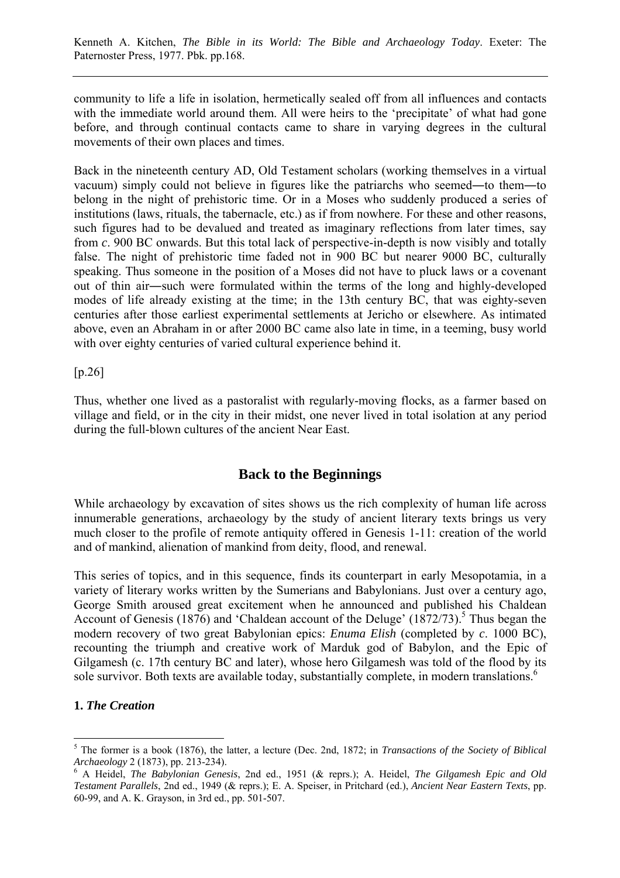community to life a life in isolation, hermetically sealed off from all influences and contacts with the immediate world around them. All were heirs to the 'precipitate' of what had gone before, and through continual contacts came to share in varying degrees in the cultural movements of their own places and times.

Back in the nineteenth century AD, Old Testament scholars (working themselves in a virtual vacuum) simply could not believe in figures like the patriarchs who seemed―to them―to belong in the night of prehistoric time. Or in a Moses who suddenly produced a series of institutions (laws, rituals, the tabernacle, etc.) as if from nowhere. For these and other reasons, such figures had to be devalued and treated as imaginary reflections from later times, say from *c*. 900 BC onwards. But this total lack of perspective-in-depth is now visibly and totally false. The night of prehistoric time faded not in 900 BC but nearer 9000 BC, culturally speaking. Thus someone in the position of a Moses did not have to pluck laws or a covenant out of thin air―such were formulated within the terms of the long and highly-developed modes of life already existing at the time; in the 13th century BC, that was eighty-seven centuries after those earliest experimental settlements at Jericho or elsewhere. As intimated above, even an Abraham in or after 2000 BC came also late in time, in a teeming, busy world with over eighty centuries of varied cultural experience behind it.

[p.26]

Thus, whether one lived as a pastoralist with regularly-moving flocks, as a farmer based on village and field, or in the city in their midst, one never lived in total isolation at any period during the full-blown cultures of the ancient Near East.

# **Back to the Beginnings**

While archaeology by excavation of sites shows us the rich complexity of human life across innumerable generations, archaeology by the study of ancient literary texts brings us very much closer to the profile of remote antiquity offered in Genesis 1-11: creation of the world and of mankind, alienation of mankind from deity, flood, and renewal.

This series of topics, and in this sequence, finds its counterpart in early Mesopotamia, in a variety of literary works written by the Sumerians and Babylonians. Just over a century ago, George Smith aroused great excitement when he announced and published his Chaldean Account of Genesis (1876) and 'Chaldean account of the Deluge'  $(1872/73)$ .<sup>5</sup> Thus began the modern recovery of two great Babylonian epics: *Enuma Elish* (completed by *c*. 1000 BC), recounting the triumph and creative work of Marduk god of Babylon, and the Epic of Gilgamesh (c. 17th century BC and later), whose hero Gilgamesh was told of the flood by its sole survivor. Both texts are available today, substantially complete, in modern translations.<sup>6</sup>

#### **1.** *The Creation*

 $\overline{a}$ 

<sup>5</sup> The former is a book (1876), the latter, a lecture (Dec. 2nd, 1872; in *Transactions of the Society of Biblical Archaeology* 2 (1873), pp. 213-234). 6

A Heidel, *The Babylonian Genesis*, 2nd ed., 1951 (& reprs.); A. Heidel, *The Gilgamesh Epic and Old Testament Parallels*, 2nd ed., 1949 (& reprs.); E. A. Speiser, in Pritchard (ed.), *Ancient Near Eastern Texts*, pp. 60-99, and A. K. Grayson, in 3rd ed., pp. 501-507.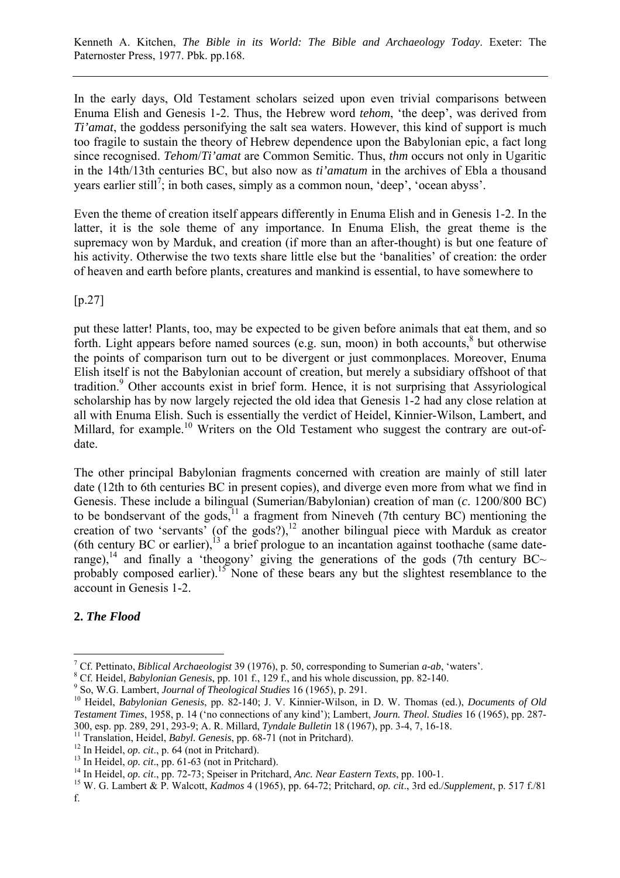In the early days, Old Testament scholars seized upon even trivial comparisons between Enuma Elish and Genesis 1-2. Thus, the Hebrew word *tehom*, 'the deep', was derived from *Ti'amat*, the goddess personifying the salt sea waters. However, this kind of support is much too fragile to sustain the theory of Hebrew dependence upon the Babylonian epic, a fact long since recognised. *Tehom*/*Ti'amat* are Common Semitic. Thus, *thm* occurs not only in Ugaritic in the 14th/13th centuries BC, but also now as *ti'amatum* in the archives of Ebla a thousand years earlier still<sup>7</sup>; in both cases, simply as a common noun, 'deep', 'ocean abyss'.

Even the theme of creation itself appears differently in Enuma Elish and in Genesis 1-2. In the latter, it is the sole theme of any importance. In Enuma Elish, the great theme is the supremacy won by Marduk, and creation (if more than an after-thought) is but one feature of his activity. Otherwise the two texts share little else but the 'banalities' of creation: the order of heaven and earth before plants, creatures and mankind is essential, to have somewhere to

[p.27]

put these latter! Plants, too, may be expected to be given before animals that eat them, and so forth. Light appears before named sources (e.g. sun, moon) in both accounts, $8$  but otherwise the points of comparison turn out to be divergent or just commonplaces. Moreover, Enuma Elish itself is not the Babylonian account of creation, but merely a subsidiary offshoot of that tradition.<sup>9</sup> Other accounts exist in brief form. Hence, it is not surprising that Assyriological scholarship has by now largely rejected the old idea that Genesis 1-2 had any close relation at all with Enuma Elish. Such is essentially the verdict of Heidel, Kinnier-Wilson, Lambert, and Millard, for example.<sup>10</sup> Writers on the Old Testament who suggest the contrary are out-ofdate.

The other principal Babylonian fragments concerned with creation are mainly of still later date (12th to 6th centuries BC in present copies), and diverge even more from what we find in Genesis. These include a bilingual (Sumerian/Babylonian) creation of man (*c*. 1200/800 BC) to be bondservant of the gods, $\frac{11}{11}$  a fragment from Nineveh (7th century BC) mentioning the creation of two 'servants' (of the gods?), $^{12}$  another bilingual piece with Marduk as creator (6th century BC or earlier),  $\frac{13}{3}$  a brief prologue to an incantation against toothache (same daterange),<sup>14</sup> and finally a 'theogony' giving the generations of the gods (7th century BC $\sim$ probably composed earlier).<sup>15</sup> None of these bears any but the slightest resemblance to the account in Genesis 1-2.

**2.** *The Flood*

 $\overline{a}$ 

<sup>&</sup>lt;sup>7</sup> Cf. Pettinato, *Biblical Archaeologist* 39 (1976), p. 50, corresponding to Sumerian *a-ab*, 'waters'. <sup>8</sup> Cf. Hoidal, *Babylonian Canceis*, pp. 101.6, 120.6, and his whole discussion pp. 82, 140.

<sup>&</sup>lt;sup>8</sup> Cf. Heidel, *Babylonian Genesis*, pp. 101 f., 129 f., and his whole discussion, pp. 82-140.<br><sup>9</sup> So, W.G. Lambert, *Journal of Theological Studies* 16 (1965), p. 291.

<sup>&</sup>lt;sup>10</sup> Heidel, *Babylonian Genesis*, pp. 82-140; J. V. Kinnier-Wilson, in D. W. Thomas (ed.), *Documents of Old Testament Times*, 1958, p. 14 ('no connections of any kind'); Lambert, *Journ. Theol. Studies* 16 (1965), pp. 287-

<sup>&</sup>lt;sup>11</sup> Translation, Heidel, *Babyl. Genesis*, pp. 68-71 (not in Pritchard).<br><sup>12</sup> In Heidel, *op. cit.*, p. 64 (not in Pritchard).<br><sup>13</sup> In Heidel, *op. cit.*, pp. 61-63 (not in Pritchard).<br><sup>14</sup> In Heidel, *op. cit.*, pp. 72f.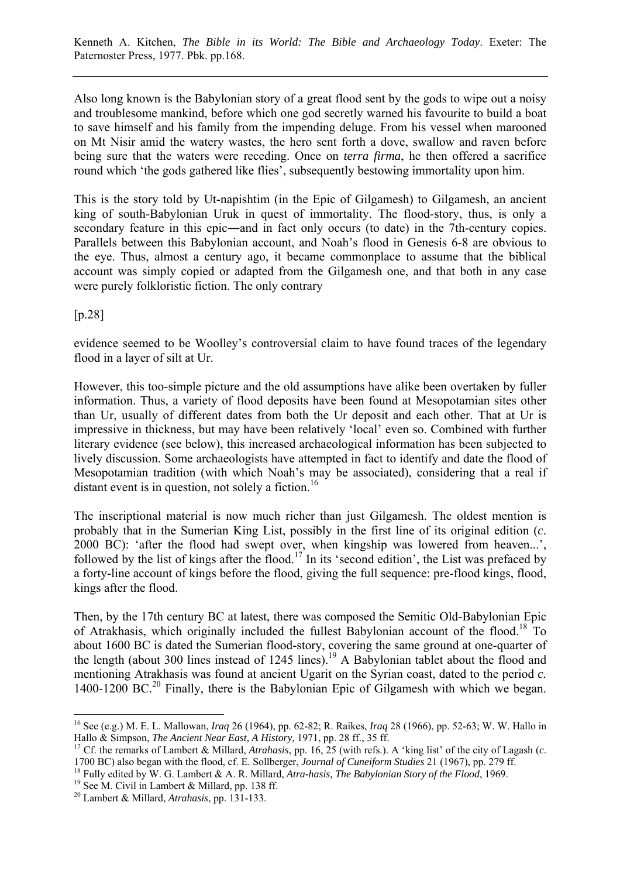Also long known is the Babylonian story of a great flood sent by the gods to wipe out a noisy and troublesome mankind, before which one god secretly warned his favourite to build a boat to save himself and his family from the impending deluge. From his vessel when marooned on Mt Nisir amid the watery wastes, the hero sent forth a dove, swallow and raven before being sure that the waters were receding. Once on *terra firma*, he then offered a sacrifice round which 'the gods gathered like flies', subsequently bestowing immortality upon him.

This is the story told by Ut-napishtim (in the Epic of Gilgamesh) to Gilgamesh, an ancient king of south-Babylonian Uruk in quest of immortality. The flood-story, thus, is only a secondary feature in this epic—and in fact only occurs (to date) in the 7th-century copies. Parallels between this Babylonian account, and Noah's flood in Genesis 6-8 are obvious to the eye. Thus, almost a century ago, it became commonplace to assume that the biblical account was simply copied or adapted from the Gilgamesh one, and that both in any case were purely folkloristic fiction. The only contrary

[p.28]

 $\overline{a}$ 

evidence seemed to be Woolley's controversial claim to have found traces of the legendary flood in a layer of silt at Ur.

However, this too-simple picture and the old assumptions have alike been overtaken by fuller information. Thus, a variety of flood deposits have been found at Mesopotamian sites other than Ur, usually of different dates from both the Ur deposit and each other. That at Ur is impressive in thickness, but may have been relatively 'local' even so. Combined with further literary evidence (see below), this increased archaeological information has been subjected to lively discussion. Some archaeologists have attempted in fact to identify and date the flood of Mesopotamian tradition (with which Noah's may be associated), considering that a real if distant event is in question, not solely a fiction.<sup>16</sup>

The inscriptional material is now much richer than just Gilgamesh. The oldest mention is probably that in the Sumerian King List, possibly in the first line of its original edition (*c*. 2000 BC): 'after the flood had swept over, when kingship was lowered from heaven...', followed by the list of kings after the flood.<sup>17</sup> In its 'second edition', the List was prefaced by a forty-line account of kings before the flood, giving the full sequence: pre-flood kings, flood, kings after the flood.

Then, by the 17th century BC at latest, there was composed the Semitic Old-Babylonian Epic of Atrakhasis, which originally included the fullest Babylonian account of the flood.<sup>18</sup> To about 1600 BC is dated the Sumerian flood-story, covering the same ground at one-quarter of the length (about 300 lines instead of 1245 lines).<sup>19</sup> A Babylonian tablet about the flood and mentioning Atrakhasis was found at ancient Ugarit on the Syrian coast, dated to the period *c.*  $1400-1200$  BC.<sup>20</sup> Finally, there is the Babylonian Epic of Gilgamesh with which we began.

<sup>16</sup> See (e.g.) M. E. L. Mallowan, *Iraq* 26 (1964), pp. 62-82; R. Raikes, *Iraq* 28 (1966), pp. 52-63; W. W. Hallo in

Hallo & Simpson, *The Ancient Near East, A History*, 1971, pp. 28 ff., 35 ff.<br><sup>17</sup> Cf. the remarks of Lambert & Millard, *Atrahasis*, pp. 16, 25 (with refs.). A 'king list' of the city of Lagash (*c*.<br>1700 BC) also began w

<sup>&</sup>lt;sup>18</sup> Fully edited by W. G. Lambert & A. R. Millard, *Atra-hasis, The Babylonian Story of the Flood*, 1969.<br><sup>19</sup> See M. Civil in Lambert & Millard, pp. 138 ff.

<sup>20</sup> Lambert & Millard, *Atrahasis*, pp. 131-133.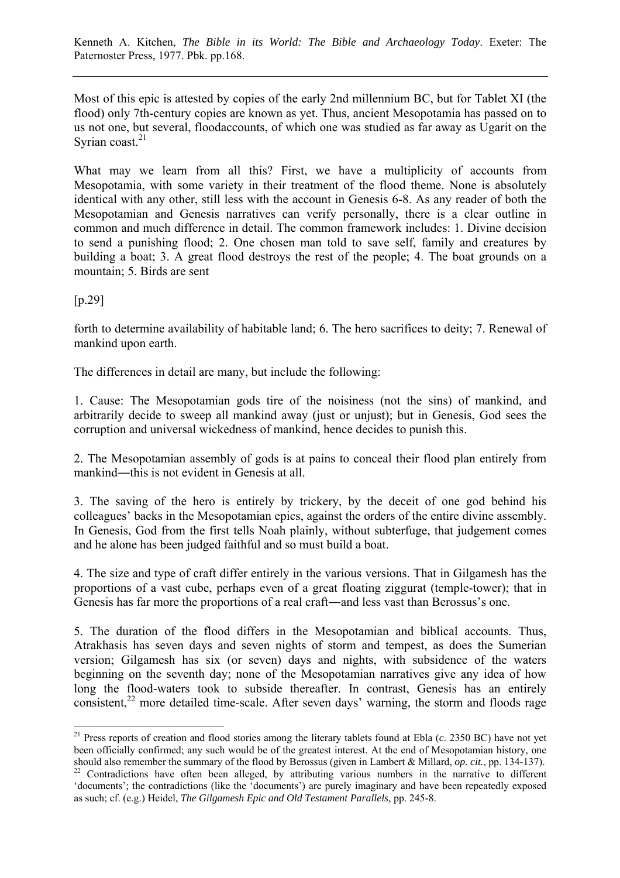Most of this epic is attested by copies of the early 2nd millennium BC, but for Tablet XI (the flood) only 7th-century copies are known as yet. Thus, ancient Mesopotamia has passed on to us not one, but several, floodaccounts, of which one was studied as far away as Ugarit on the Syrian coast. $21$ 

What may we learn from all this? First, we have a multiplicity of accounts from Mesopotamia, with some variety in their treatment of the flood theme. None is absolutely identical with any other, still less with the account in Genesis 6-8. As any reader of both the Mesopotamian and Genesis narratives can verify personally, there is a clear outline in common and much difference in detail. The common framework includes: 1. Divine decision to send a punishing flood; 2. One chosen man told to save self, family and creatures by building a boat; 3. A great flood destroys the rest of the people; 4. The boat grounds on a mountain; 5. Birds are sent

[p.29]

 $\overline{a}$ 

forth to determine availability of habitable land; 6. The hero sacrifices to deity; 7. Renewal of mankind upon earth.

The differences in detail are many, but include the following:

1. Cause: The Mesopotamian gods tire of the noisiness (not the sins) of mankind, and arbitrarily decide to sweep all mankind away (just or unjust); but in Genesis, God sees the corruption and universal wickedness of mankind, hence decides to punish this.

2. The Mesopotamian assembly of gods is at pains to conceal their flood plan entirely from mankind—this is not evident in Genesis at all.

3. The saving of the hero is entirely by trickery, by the deceit of one god behind his colleagues' backs in the Mesopotamian epics, against the orders of the entire divine assembly. In Genesis, God from the first tells Noah plainly, without subterfuge, that judgement comes and he alone has been judged faithful and so must build a boat.

4. The size and type of craft differ entirely in the various versions. That in Gilgamesh has the proportions of a vast cube, perhaps even of a great floating ziggurat (temple-tower); that in Genesis has far more the proportions of a real craft―and less vast than Berossus's one.

5. The duration of the flood differs in the Mesopotamian and biblical accounts. Thus, Atrakhasis has seven days and seven nights of storm and tempest, as does the Sumerian version; Gilgamesh has six (or seven) days and nights, with subsidence of the waters beginning on the seventh day; none of the Mesopotamian narratives give any idea of how long the flood-waters took to subside thereafter. In contrast, Genesis has an entirely consistent, $22$  more detailed time-scale. After seven days' warning, the storm and floods rage

<sup>&</sup>lt;sup>21</sup> Press reports of creation and flood stories among the literary tablets found at Ebla (*c*. 2350 BC) have not yet been officially confirmed; any such would be of the greatest interest. At the end of Mesopotamian history, one should also remember the summary of the flood by Berossus (given in Lambert & Millard, *op. cit.*, pp. 134-137

<sup>&</sup>lt;sup>22</sup> Contradictions have often been alleged, by attributing various numbers in the narrative to different 'documents'; the contradictions (like the 'documents') are purely imaginary and have been repeatedly exposed as such; cf. (e.g.) Heidel, *The Gilgamesh Epic and Old Testament Parallels*, pp. 245-8.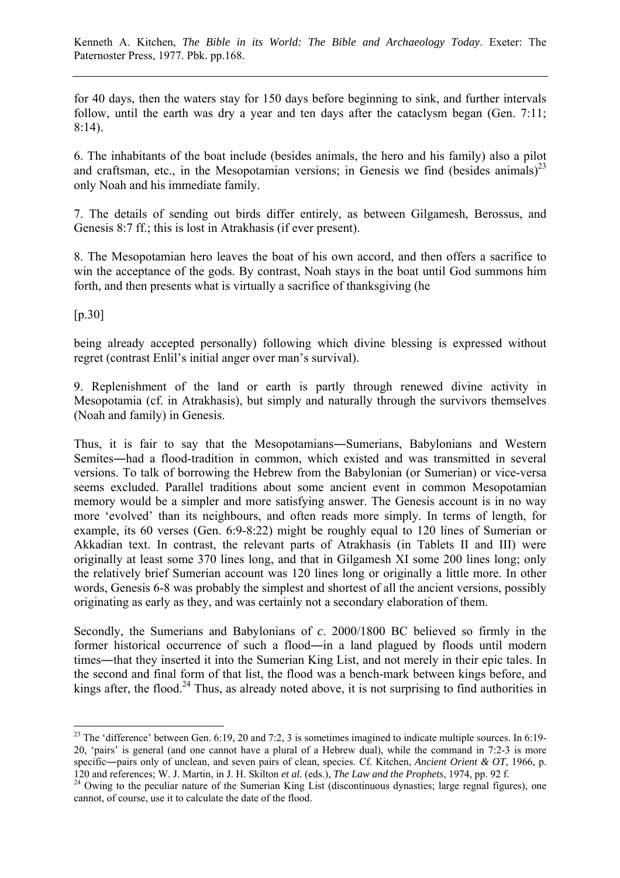for 40 days, then the waters stay for 150 days before beginning to sink, and further intervals follow, until the earth was dry a year and ten days after the cataclysm began (Gen. 7:11; 8:14).

6. The inhabitants of the boat include (besides animals, the hero and his family) also a pilot and craftsman, etc., in the Mesopotamian versions; in Genesis we find (besides animals)<sup>23</sup> only Noah and his immediate family.

7. The details of sending out birds differ entirely, as between Gilgamesh, Berossus, and Genesis 8:7 ff.; this is lost in Atrakhasis (if ever present).

8. The Mesopotamian hero leaves the boat of his own accord, and then offers a sacrifice to win the acceptance of the gods. By contrast, Noah stays in the boat until God summons him forth, and then presents what is virtually a sacrifice of thanksgiving (he

 $[p.30]$ 

 $\overline{a}$ 

being already accepted personally) following which divine blessing is expressed without regret (contrast Enlil's initial anger over man's survival).

9. Replenishment of the land or earth is partly through renewed divine activity in Mesopotamia (cf. in Atrakhasis), but simply and naturally through the survivors themselves (Noah and family) in Genesis.

Thus, it is fair to say that the Mesopotamians―Sumerians, Babylonians and Western Semites―had a flood-tradition in common, which existed and was transmitted in several versions. To talk of borrowing the Hebrew from the Babylonian (or Sumerian) or vice-versa seems excluded. Parallel traditions about some ancient event in common Mesopotamian memory would be a simpler and more satisfying answer. The Genesis account is in no way more 'evolved' than its neighbours, and often reads more simply. In terms of length, for example, its 60 verses (Gen. 6:9-8:22) might be roughly equal to 120 lines of Sumerian or Akkadian text. In contrast, the relevant parts of Atrakhasis (in Tablets II and III) were originally at least some 370 lines long, and that in Gilgamesh XI some 200 lines long; only the relatively brief Sumerian account was 120 lines long or originally a little more. In other words, Genesis 6-8 was probably the simplest and shortest of all the ancient versions, possibly originating as early as they, and was certainly not a secondary elaboration of them.

Secondly, the Sumerians and Babylonians of *c*. 2000/1800 BC believed so firmly in the former historical occurrence of such a flood―in a land plagued by floods until modern times―that they inserted it into the Sumerian King List, and not merely in their epic tales. In the second and final form of that list, the flood was a bench-mark between kings before, and kings after, the flood.<sup>24</sup> Thus, as already noted above, it is not surprising to find authorities in

 $23$  The 'difference' between Gen. 6:19, 20 and 7:2, 3 is sometimes imagined to indicate multiple sources. In 6:19-20, 'pairs' is general (and one cannot have a plural of a Hebrew dual), while the command in 7:2-3 is more specific―pairs only of unclean, and seven pairs of clean, species. Cf. Kitchen, *Ancient Orient & OT*, 1966, p. 120 and references; W. J. Martin, in J. H. Skilton et al. (eds.), The Law and the Prophets, 1974, pp. 92 f.<br><sup>24</sup> Owing to the peculiar nature of the Sumerian King List (discontinuous dynasties; large regnal figures), one

cannot, of course, use it to calculate the date of the flood.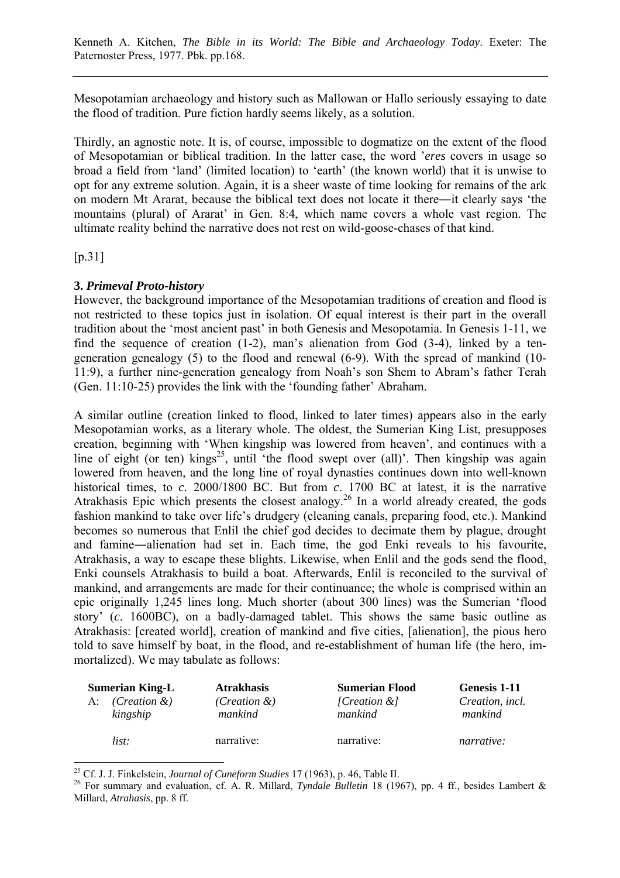Mesopotamian archaeology and history such as Mallowan or Hallo seriously essaying to date the flood of tradition. Pure fiction hardly seems likely, as a solution.

Thirdly, an agnostic note. It is, of course, impossible to dogmatize on the extent of the flood of Mesopotamian or biblical tradition. In the latter case, the word '*eres* covers in usage so broad a field from 'land' (limited location) to 'earth' (the known world) that it is unwise to opt for any extreme solution. Again, it is a sheer waste of time looking for remains of the ark on modern Mt Ararat, because the biblical text does not locate it there―it clearly says 'the mountains (plural) of Ararat' in Gen. 8:4, which name covers a whole vast region. The ultimate reality behind the narrative does not rest on wild-goose-chases of that kind.

[p.31]

 $\overline{a}$ 

#### **3.** *Primeval Proto-history*

However, the background importance of the Mesopotamian traditions of creation and flood is not restricted to these topics just in isolation. Of equal interest is their part in the overall tradition about the 'most ancient past' in both Genesis and Mesopotamia. In Genesis 1-11, we find the sequence of creation (1-2), man's alienation from God (3-4), linked by a tengeneration genealogy (5) to the flood and renewal (6-9). With the spread of mankind (10- 11:9), a further nine-generation genealogy from Noah's son Shem to Abram's father Terah (Gen. 11:10-25) provides the link with the 'founding father' Abraham.

A similar outline (creation linked to flood, linked to later times) appears also in the early Mesopotamian works, as a literary whole. The oldest, the Sumerian King List, presupposes creation, beginning with 'When kingship was lowered from heaven', and continues with a line of eight (or ten) kings<sup>25</sup>, until 'the flood swept over (all)'. Then kingship was again lowered from heaven, and the long line of royal dynasties continues down into well-known historical times, to *c.* 2000/1800 BC. But from *c*. 1700 BC at latest, it is the narrative Atrakhasis Epic which presents the closest analogy.<sup>26</sup> In a world already created, the gods fashion mankind to take over life's drudgery (cleaning canals, preparing food, etc.). Mankind becomes so numerous that Enlil the chief god decides to decimate them by plague, drought and famine―alienation had set in. Each time, the god Enki reveals to his favourite, Atrakhasis, a way to escape these blights. Likewise, when Enlil and the gods send the flood, Enki counsels Atrakhasis to build a boat. Afterwards, Enlil is reconciled to the survival of mankind, and arrangements are made for their continuance; the whole is comprised within an epic originally 1,245 lines long. Much shorter (about 300 lines) was the Sumerian 'flood story' (*c*. 1600BC), on a badly-damaged tablet. This shows the same basic outline as Atrakhasis: [created world], creation of mankind and five cities, [alienation], the pious hero told to save himself by boat, in the flood, and re-establishment of human life (the hero, immortalized). We may tabulate as follows:

| <b>Sumerian King-L</b> |                                | <b>Atrakhasis</b>                    | <b>Sumerian Flood</b>   | Genesis 1-11               |
|------------------------|--------------------------------|--------------------------------------|-------------------------|----------------------------|
|                        | A: $(Creation \&)$<br>kingship | ( <i>Creation &amp;</i> )<br>mankind | [Creation &]<br>mankind | Creation, incl.<br>mankind |
|                        | list:                          | narrative:                           | narrative:              | narrative:                 |

<sup>&</sup>lt;sup>25</sup> Cf. J. J. Finkelstein, *Journal of Cuneform Studies* 17 (1963), p. 46, Table II.<br><sup>26</sup> For summary and evaluation, cf. A. R. Millard, *Tyndale Bulletin* 18 (1967), pp. 4 ff., besides Lambert & Millard, *Atrahasis*, pp. 8 ff.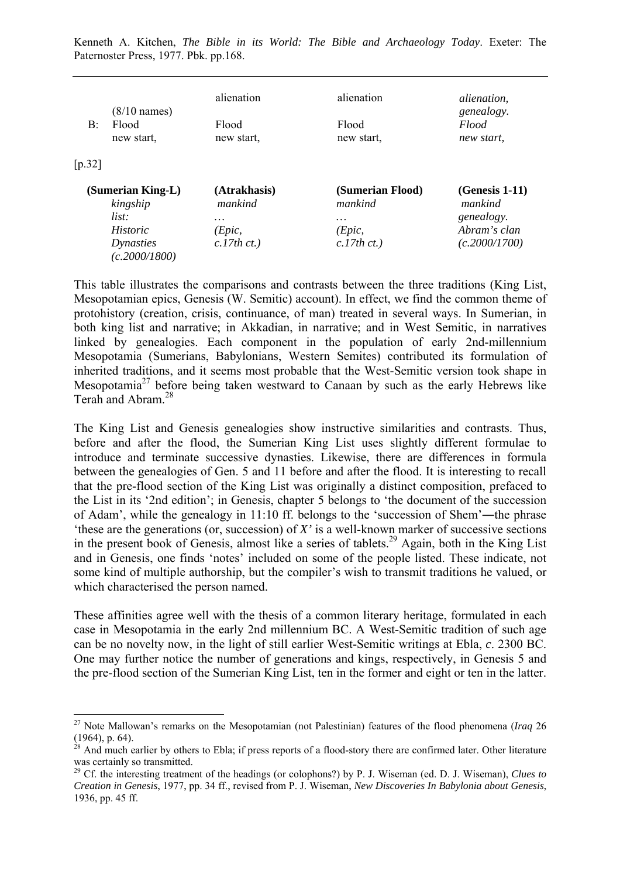| B:     | $(8/10$ names)<br>Flood<br>new start.                                            | alienation<br>Flood<br>new start.                                  | alienation<br>Flood<br>new start,                                      | <i>alienation.</i><br>genealogy.<br><i>Flood</i><br>new start,             |
|--------|----------------------------------------------------------------------------------|--------------------------------------------------------------------|------------------------------------------------------------------------|----------------------------------------------------------------------------|
| [p.32] |                                                                                  |                                                                    |                                                                        |                                                                            |
|        | (Sumerian King-L)<br>kingship<br>list:<br>Historic<br>Dynasties<br>(c.2000/1800) | (Atrakhasis)<br>mankind<br>$\cdots$<br>(Epic,<br>$c.17$ th $ct.$ ) | (Sumerian Flood)<br>mankind<br>$\cdots$<br>(Epic,<br>$c.17$ th $ct.$ ) | $(Genesis 1-11)$<br>mankind<br>genealogy.<br>Abram's clan<br>(c.2000/1700) |

This table illustrates the comparisons and contrasts between the three traditions (King List, Mesopotamian epics, Genesis (W. Semitic) account). In effect, we find the common theme of protohistory (creation, crisis, continuance, of man) treated in several ways. In Sumerian, in both king list and narrative; in Akkadian, in narrative; and in West Semitic, in narratives linked by genealogies. Each component in the population of early 2nd-millennium Mesopotamia (Sumerians, Babylonians, Western Semites) contributed its formulation of inherited traditions, and it seems most probable that the West-Semitic version took shape in Mesopotamia<sup>27</sup> before being taken westward to Canaan by such as the early Hebrews like Terah and Abram.<sup>28</sup>

The King List and Genesis genealogies show instructive similarities and contrasts. Thus, before and after the flood, the Sumerian King List uses slightly different formulae to introduce and terminate successive dynasties. Likewise, there are differences in formula between the genealogies of Gen. 5 and 11 before and after the flood. It is interesting to recall that the pre-flood section of the King List was originally a distinct composition, prefaced to the List in its '2nd edition'; in Genesis, chapter 5 belongs to 'the document of the succession of Adam', while the genealogy in 11:10 ff. belongs to the 'succession of Shem'―the phrase 'these are the generations (or, succession) of *X'* is a well-known marker of successive sections in the present book of Genesis, almost like a series of tablets.<sup>29</sup> Again, both in the King List and in Genesis, one finds 'notes' included on some of the people listed. These indicate, not some kind of multiple authorship, but the compiler's wish to transmit traditions he valued, or which characterised the person named.

These affinities agree well with the thesis of a common literary heritage, formulated in each case in Mesopotamia in the early 2nd millennium BC. A West-Semitic tradition of such age can be no novelty now, in the light of still earlier West-Semitic writings at Ebla, *c*. 2300 BC. One may further notice the number of generations and kings, respectively, in Genesis 5 and the pre-flood section of the Sumerian King List, ten in the former and eight or ten in the latter.

 $\overline{a}$ 

<sup>27</sup> Note Mallowan's remarks on the Mesopotamian (not Palestinian) features of the flood phenomena (*Iraq* 26 (1964), p. 64).

 $3$  And much earlier by others to Ebla; if press reports of a flood-story there are confirmed later. Other literature was certainly so transmitted.

<sup>29</sup> Cf. the interesting treatment of the headings (or colophons?) by P. J. Wiseman (ed. D. J. Wiseman), *Clues to Creation in Genesis*, 1977, pp. 34 ff., revised from P. J. Wiseman, *New Discoveries In Babylonia about Genesis*, 1936, pp. 45 ff.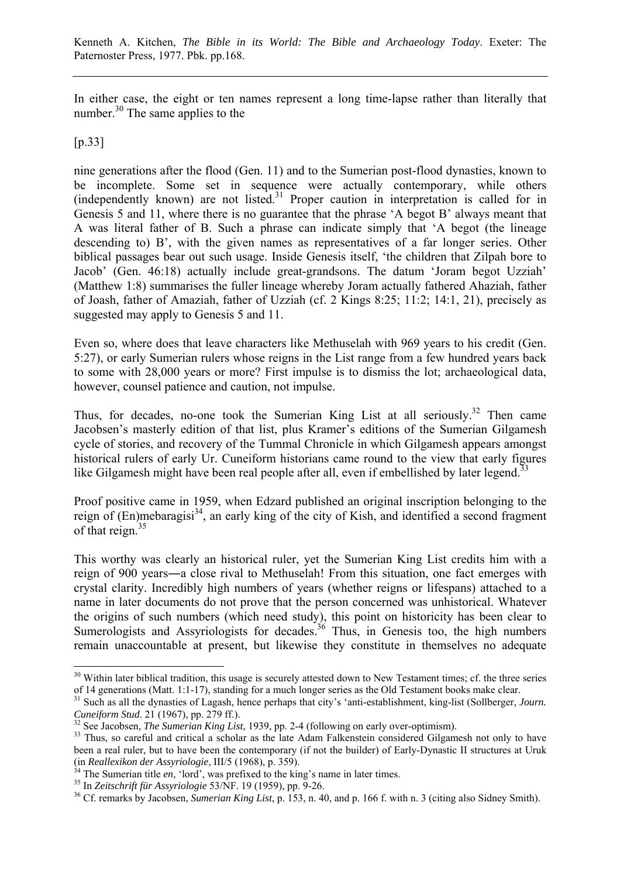In either case, the eight or ten names represent a long time-lapse rather than literally that number.<sup>30</sup> The same applies to the

[p.33]

 $\overline{a}$ 

nine generations after the flood (Gen. 11) and to the Sumerian post-flood dynasties, known to be incomplete. Some set in sequence were actually contemporary, while others (independently known) are not listed.31 Proper caution in interpretation is called for in Genesis 5 and 11, where there is no guarantee that the phrase 'A begot B' always meant that A was literal father of B. Such a phrase can indicate simply that 'A begot (the lineage descending to) B', with the given names as representatives of a far longer series. Other biblical passages bear out such usage. Inside Genesis itself, 'the children that Zilpah bore to Jacob' (Gen. 46:18) actually include great-grandsons. The datum 'Joram begot Uzziah' (Matthew 1:8) summarises the fuller lineage whereby Joram actually fathered Ahaziah, father of Joash, father of Amaziah, father of Uzziah (cf. 2 Kings 8:25; 11:2; 14:1, 21), precisely as suggested may apply to Genesis 5 and 11.

Even so, where does that leave characters like Methuselah with 969 years to his credit (Gen. 5:27), or early Sumerian rulers whose reigns in the List range from a few hundred years back to some with 28,000 years or more? First impulse is to dismiss the lot; archaeological data, however, counsel patience and caution, not impulse.

Thus, for decades, no-one took the Sumerian King List at all seriously.<sup>32</sup> Then came Jacobsen's masterly edition of that list, plus Kramer's editions of the Sumerian Gilgamesh cycle of stories, and recovery of the Tummal Chronicle in which Gilgamesh appears amongst historical rulers of early Ur. Cuneiform historians came round to the view that early figures like Gilgamesh might have been real people after all, even if embellished by later legend.<sup>33</sup>

Proof positive came in 1959, when Edzard published an original inscription belonging to the reign of (En)mebaragisi<sup>34</sup>, an early king of the city of Kish, and identified a second fragment of that reign.<sup>35</sup>

This worthy was clearly an historical ruler, yet the Sumerian King List credits him with a reign of 900 years―a close rival to Methuselah! From this situation, one fact emerges with crystal clarity. Incredibly high numbers of years (whether reigns or lifespans) attached to a name in later documents do not prove that the person concerned was unhistorical. Whatever the origins of such numbers (which need study), this point on historicity has been clear to Sumerologists and Assyriologists for decades.<sup>36</sup> Thus, in Genesis too, the high numbers remain unaccountable at present, but likewise they constitute in themselves no adequate

 $30$  Within later biblical tradition, this usage is securely attested down to New Testament times; cf. the three series of 14 generations (Matt. 1:1-17), standing for a much longer series as the Old Testament books make c

 $31$  Such as all the dynasties of Lagash, hence perhaps that city's 'anti-establishment, king-list (Sollberger, Journ.<br>Cuneiform Stud, 21 (1967), pp. 279 ff.).

<sup>&</sup>lt;sup>32</sup> See Jacobsen, *The Sumerian King List*, 1939, pp. 2-4 (following on early over-optimism).<br><sup>33</sup> Thus, so careful and critical a scholar as the late Adam Falkenstein considered Gilgamesh not only to have been a real ruler, but to have been the contemporary (if not the builder) of Early-Dynastic II structures at Uruk (in Reallexikon der Assyriologie, III/5 (1968), p. 359).<br><sup>34</sup> The Sumerian title en, 'lord', was prefixed to the king's name in later times.<br><sup>35</sup> In Zeitschrift für Assyriologie 53/NF. 19 (1959), pp. 9-26.<br><sup>36</sup> Cf. remark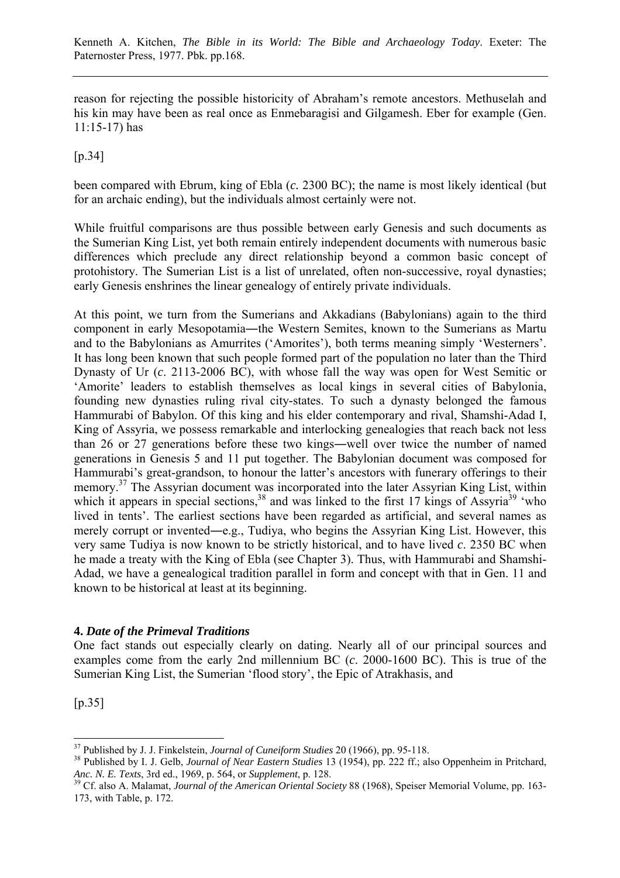reason for rejecting the possible historicity of Abraham's remote ancestors. Methuselah and his kin may have been as real once as Enmebaragisi and Gilgamesh. Eber for example (Gen. 11:15-17) has

[p.34]

been compared with Ebrum, king of Ebla (*c.* 2300 BC); the name is most likely identical (but for an archaic ending), but the individuals almost certainly were not.

While fruitful comparisons are thus possible between early Genesis and such documents as the Sumerian King List, yet both remain entirely independent documents with numerous basic differences which preclude any direct relationship beyond a common basic concept of protohistory. The Sumerian List is a list of unrelated, often non-successive, royal dynasties; early Genesis enshrines the linear genealogy of entirely private individuals.

At this point, we turn from the Sumerians and Akkadians (Babylonians) again to the third component in early Mesopotamia―the Western Semites, known to the Sumerians as Martu and to the Babylonians as Amurrites ('Amorites'), both terms meaning simply 'Westerners'. It has long been known that such people formed part of the population no later than the Third Dynasty of Ur (*c*. 2113-2006 BC), with whose fall the way was open for West Semitic or 'Amorite' leaders to establish themselves as local kings in several cities of Babylonia, founding new dynasties ruling rival city-states. To such a dynasty belonged the famous Hammurabi of Babylon. Of this king and his elder contemporary and rival, Shamshi-Adad I, King of Assyria, we possess remarkable and interlocking genealogies that reach back not less than 26 or 27 generations before these two kings―well over twice the number of named generations in Genesis 5 and 11 put together. The Babylonian document was composed for Hammurabi's great-grandson, to honour the latter's ancestors with funerary offerings to their memory.<sup>37</sup> The Assyrian document was incorporated into the later Assyrian King List, within which it appears in special sections,  $38$  and was linked to the first 17 kings of Assyria $39$  'who lived in tents'. The earliest sections have been regarded as artificial, and several names as merely corrupt or invented―e.g., Tudiya, who begins the Assyrian King List. However, this very same Tudiya is now known to be strictly historical, and to have lived *c*. 2350 BC when he made a treaty with the King of Ebla (see Chapter 3). Thus, with Hammurabi and Shamshi-Adad, we have a genealogical tradition parallel in form and concept with that in Gen. 11 and known to be historical at least at its beginning.

## **4.** *Date of the Primeval Traditions*

One fact stands out especially clearly on dating. Nearly all of our principal sources and examples come from the early 2nd millennium BC (*c*. 2000-1600 BC). This is true of the Sumerian King List, the Sumerian 'flood story', the Epic of Atrakhasis, and

 $[p.35]$ 

 $\overline{a}$ 

<sup>&</sup>lt;sup>37</sup> Published by J. J. Finkelstein, *Journal of Cuneiform Studies* 20 (1966), pp. 95-118.<br><sup>38</sup> Published by I. J. Gelb, *Journal of Near Eastern Studies* 13 (1954), pp. 222 ff.; also Oppenheim in Pritchard, *Anc. N. E. Texts*, 3rd ed., 1969, p. 564, or *Supplement*, p. 128.<br><sup>39</sup> Cf. also A. Malamat, *Journal of the American Oriental Society* 88 (1968), Speiser Memorial Volume, pp. 163-

<sup>173,</sup> with Table, p. 172.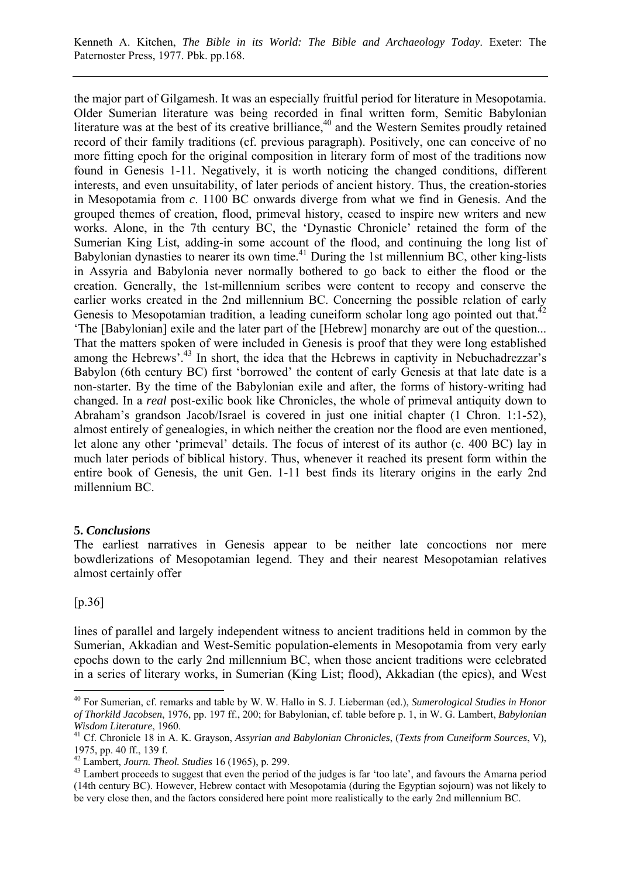the major part of Gilgamesh. It was an especially fruitful period for literature in Mesopotamia. Older Sumerian literature was being recorded in final written form, Semitic Babylonian literature was at the best of its creative brilliance, $40$  and the Western Semites proudly retained record of their family traditions (cf. previous paragraph). Positively, one can conceive of no more fitting epoch for the original composition in literary form of most of the traditions now found in Genesis 1-11. Negatively, it is worth noticing the changed conditions, different interests, and even unsuitability, of later periods of ancient history. Thus, the creation-stories in Mesopotamia from *c*. 1100 BC onwards diverge from what we find in Genesis. And the grouped themes of creation, flood, primeval history, ceased to inspire new writers and new works. Alone, in the 7th century BC, the 'Dynastic Chronicle' retained the form of the Sumerian King List, adding-in some account of the flood, and continuing the long list of Babylonian dynasties to nearer its own time.<sup>41</sup> During the 1st millennium BC, other king-lists in Assyria and Babylonia never normally bothered to go back to either the flood or the creation. Generally, the 1st-millennium scribes were content to recopy and conserve the earlier works created in the 2nd millennium BC. Concerning the possible relation of early Genesis to Mesopotamian tradition, a leading cuneiform scholar long ago pointed out that.<sup>42</sup> 'The [Babylonian] exile and the later part of the [Hebrew] monarchy are out of the question... That the matters spoken of were included in Genesis is proof that they were long established among the Hebrews'.43 In short, the idea that the Hebrews in captivity in Nebuchadrezzar's Babylon (6th century BC) first 'borrowed' the content of early Genesis at that late date is a non-starter. By the time of the Babylonian exile and after, the forms of history-writing had changed. In a *real* post-exilic book like Chronicles, the whole of primeval antiquity down to Abraham's grandson Jacob/Israel is covered in just one initial chapter (1 Chron. 1:1-52), almost entirely of genealogies, in which neither the creation nor the flood are even mentioned, let alone any other 'primeval' details. The focus of interest of its author (c. 400 BC) lay in much later periods of biblical history. Thus, whenever it reached its present form within the entire book of Genesis, the unit Gen. 1-11 best finds its literary origins in the early 2nd millennium BC.

#### **5.** *Conclusions*

The earliest narratives in Genesis appear to be neither late concoctions nor mere bowdlerizations of Mesopotamian legend. They and their nearest Mesopotamian relatives almost certainly offer

## [p.36]

 $\overline{a}$ 

lines of parallel and largely independent witness to ancient traditions held in common by the Sumerian, Akkadian and West-Semitic population-elements in Mesopotamia from very early epochs down to the early 2nd millennium BC, when those ancient traditions were celebrated in a series of literary works, in Sumerian (King List; flood), Akkadian (the epics), and West

<sup>40</sup> For Sumerian, cf. remarks and table by W. W. Hallo in S. J. Lieberman (ed.), *Sumerological Studies in Honor of Thorkild Jacobsen*, 1976, pp. 197 ff., 200; for Babylonian, cf. table before p. 1, in W. G. Lambert, *Babylonian Wisdom Literature*, 1960. 41 Cf. Chronicle 18 in A. K. Grayson, *Assyrian and Babylonian Chronicles*, (*Texts from Cuneiform Sources*, V),

<sup>1975,</sup> pp. 40 ff., 139 f.<br><sup>42</sup> Lambert, *Journ. Theol. Studies* 16 (1965), p. 299.

<sup>&</sup>lt;sup>43</sup> Lambert proceeds to suggest that even the period of the judges is far 'too late', and favours the Amarna period (14th century BC). However, Hebrew contact with Mesopotamia (during the Egyptian sojourn) was not likely to be very close then, and the factors considered here point more realistically to the early 2nd millennium BC.